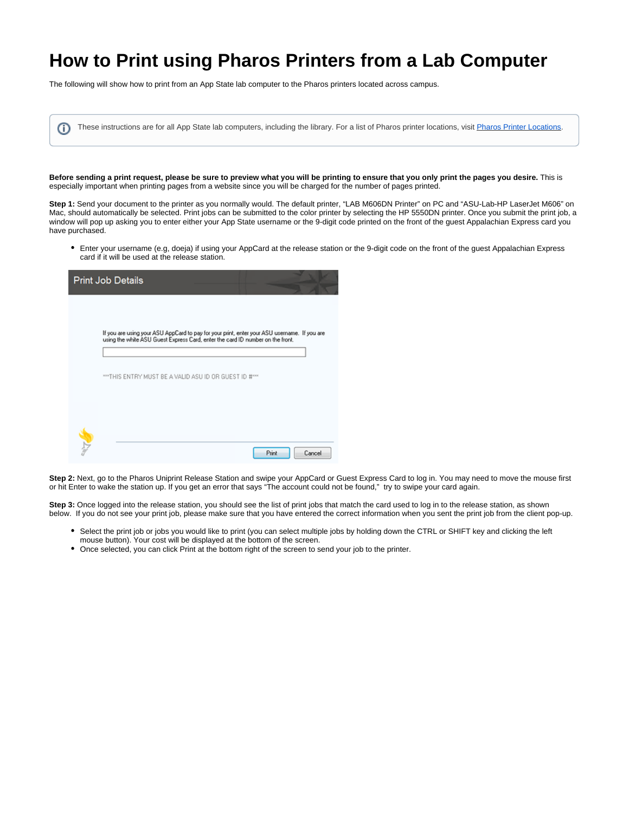# **How to Print using Pharos Printers from a Lab Computer**

The following will show how to print from an App State lab computer to the Pharos printers located across campus.

| These instructions are for all App State lab computers, including the library. For a list of Pharos printer locations, visit Pharos Printer Locations. |  |  |
|--------------------------------------------------------------------------------------------------------------------------------------------------------|--|--|
|                                                                                                                                                        |  |  |

**Before sending a print request, please be sure to preview what you will be printing to ensure that you only print the pages you desire.** This is especially important when printing pages from a website since you will be charged for the number of pages printed.

**Step 1:** Send your document to the printer as you normally would. The default printer, "LAB M606DN Printer" on PC and "ASU-Lab-HP LaserJet M606" on Mac, should automatically be selected. Print jobs can be submitted to the color printer by selecting the HP 5550DN printer. Once you submit the print job, a window will pop up asking you to enter either your App State username or the 9-digit code printed on the front of the guest Appalachian Express card you have purchased.

Enter your username (e.g, doeja) if using your AppCard at the release station or the 9-digit code on the front of the guest Appalachian Express card if it will be used at the release station.

| <b>Print Job Details</b>                                                                                                                                                       |
|--------------------------------------------------------------------------------------------------------------------------------------------------------------------------------|
|                                                                                                                                                                                |
| If you are using your ASU AppCard to pay for your print, enter your ASU username. If you are<br>using the white ASU Guest Express Card, enter the card ID number on the front. |
| *** THIS ENTRY MUST BE A VALID ASU ID OR GUEST ID #***                                                                                                                         |
|                                                                                                                                                                                |
| Print<br>Cancel                                                                                                                                                                |

**Step 2:** Next, go to the Pharos Uniprint Release Station and swipe your AppCard or Guest Express Card to log in. You may need to move the mouse first or hit Enter to wake the station up. If you get an error that says "The account could not be found," try to swipe your card again.

**Step 3:** Once logged into the release station, you should see the list of print jobs that match the card used to log in to the release station, as shown below. If you do not see your print job, please make sure that you have entered the correct information when you sent the print job from the client pop-up.

- Select the print job or jobs you would like to print (you can select multiple jobs by holding down the CTRL or SHIFT key and clicking the left mouse button). Your cost will be displayed at the bottom of the screen.
- Once selected, you can click Print at the bottom right of the screen to send your job to the printer.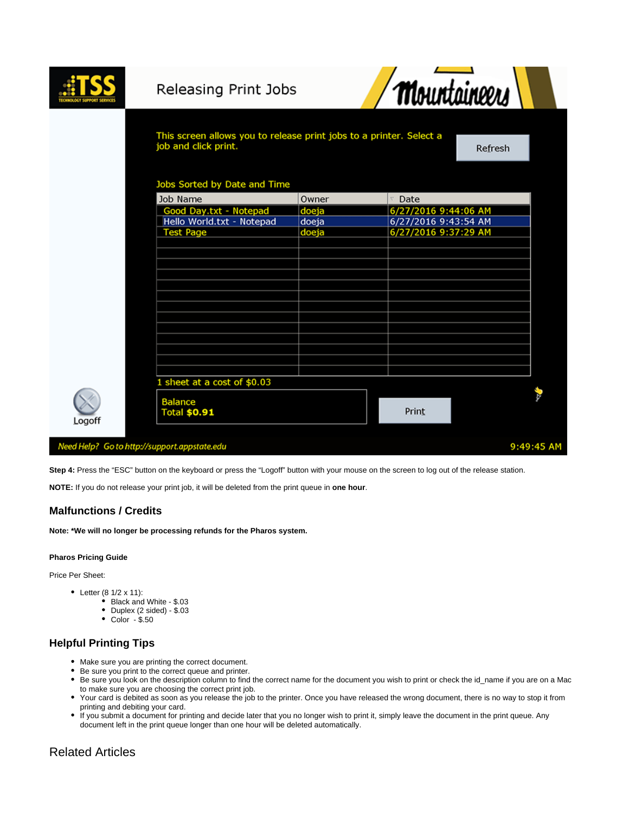|        | Releasing Print Jobs                         |                                                                     | <b>Mountaineers</b>  |            |
|--------|----------------------------------------------|---------------------------------------------------------------------|----------------------|------------|
|        | job and click print.                         | This screen allows you to release print jobs to a printer. Select a |                      |            |
|        | Jobs Sorted by Date and Time                 |                                                                     |                      |            |
|        | Job Name                                     | Owner                                                               | Date                 |            |
|        | Good Day.txt - Notepad                       | doeja                                                               | 6/27/2016 9:44:06 AM |            |
|        | Hello World.txt - Notepad                    | doeja                                                               | 6/27/2016 9:43:54 AM |            |
|        | <b>Test Page</b>                             | doeja                                                               | 6/27/2016 9:37:29 AM |            |
|        |                                              |                                                                     |                      |            |
|        |                                              |                                                                     |                      |            |
|        |                                              |                                                                     |                      |            |
|        |                                              |                                                                     |                      |            |
|        |                                              |                                                                     |                      |            |
|        |                                              |                                                                     |                      |            |
|        |                                              |                                                                     |                      |            |
|        |                                              |                                                                     |                      |            |
|        |                                              |                                                                     |                      |            |
|        |                                              |                                                                     |                      |            |
|        |                                              |                                                                     |                      |            |
|        |                                              |                                                                     |                      |            |
|        | 1 sheet at a cost of $$0.03$                 |                                                                     |                      |            |
| Logoff | <b>Balance</b><br><b>Total \$0.91</b>        |                                                                     | Print                |            |
|        | Need Help? Go to http://support.appstate.edu |                                                                     |                      | 9:49:45 AM |

**Step 4:** Press the "ESC" button on the keyboard or press the "Logoff" button with your mouse on the screen to log out of the release station.

**NOTE:** If you do not release your print job, it will be deleted from the print queue in **one hour**.

## **Malfunctions / Credits**

**Note: \*We will no longer be processing refunds for the Pharos system.** 

#### **Pharos Pricing Guide**

Price Per Sheet:

- Letter  $(8 \frac{1}{2} \times 11)$ :
	- Black and White \$.03
		- Duplex (2 sided) \$.03
		- Color \$.50

## **Helpful Printing Tips**

- Make sure you are printing the correct document.
- Be sure you print to the correct queue and printer.
- Be sure you look on the description column to find the correct name for the document you wish to print or check the id\_name if you are on a Mac to make sure you are choosing the correct print job.
- Your card is debited as soon as you release the job to the printer. Once you have released the wrong document, there is no way to stop it from printing and debiting your card.
- If you submit a document for printing and decide later that you no longer wish to print it, simply leave the document in the print queue. Any document left in the print queue longer than one hour will be deleted automatically.

## Related Articles